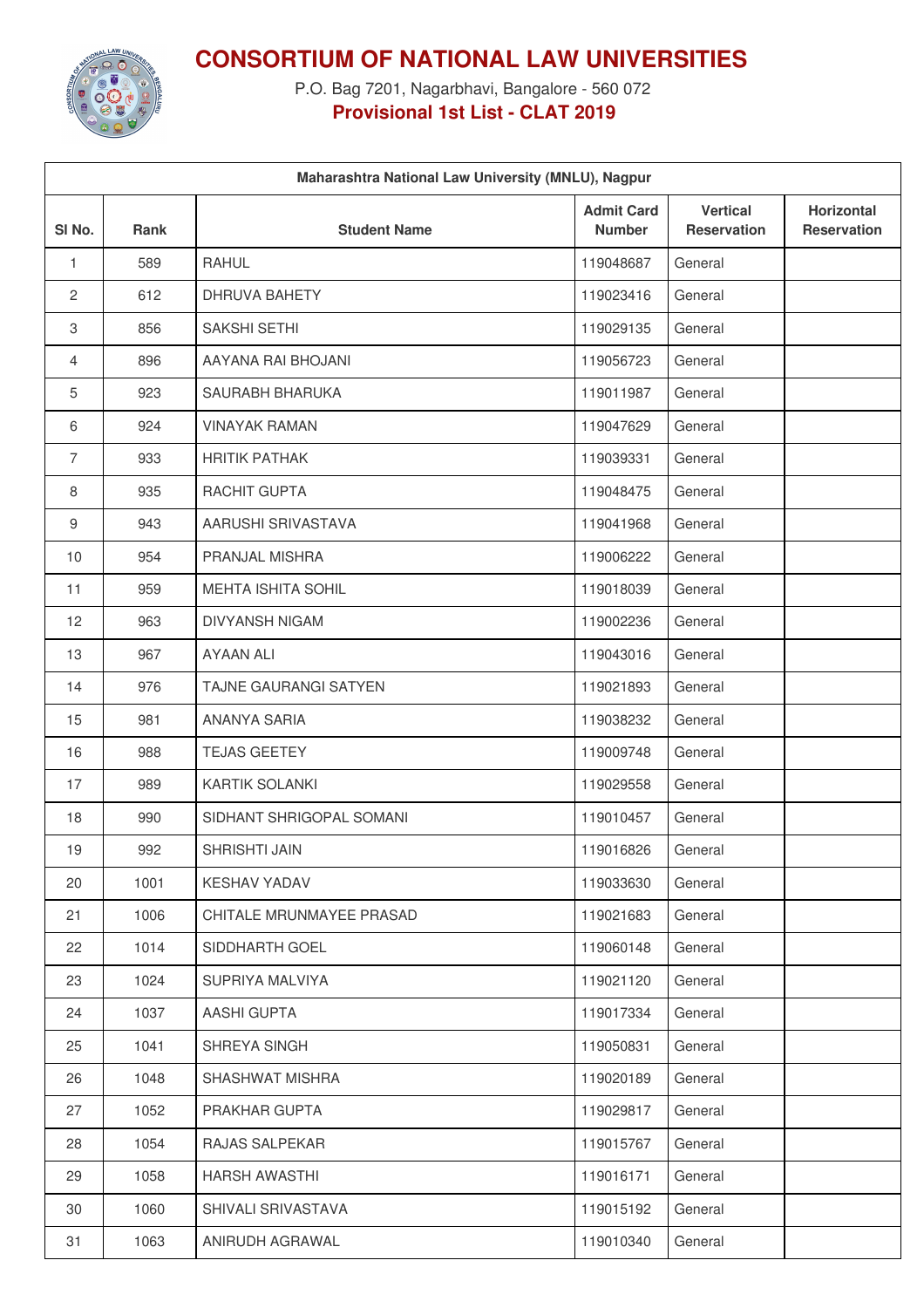

## **CONSORTIUM OF NATIONAL LAW UNIVERSITIES**

P.O. Bag 7201, Nagarbhavi, Bangalore - 560 072 **Provisional 1st List - CLAT 2019**

| Maharashtra National Law University (MNLU), Nagpur |      |                           |                                    |                                       |                                  |
|----------------------------------------------------|------|---------------------------|------------------------------------|---------------------------------------|----------------------------------|
| SI <sub>No.</sub>                                  | Rank | <b>Student Name</b>       | <b>Admit Card</b><br><b>Number</b> | <b>Vertical</b><br><b>Reservation</b> | Horizontal<br><b>Reservation</b> |
| 1                                                  | 589  | <b>RAHUL</b>              | 119048687                          | General                               |                                  |
| 2                                                  | 612  | DHRUVA BAHETY             | 119023416                          | General                               |                                  |
| З                                                  | 856  | SAKSHI SETHI              | 119029135                          | General                               |                                  |
| 4                                                  | 896  | AAYANA RAI BHOJANI        | 119056723                          | General                               |                                  |
| 5                                                  | 923  | SAURABH BHARUKA           | 119011987                          | General                               |                                  |
| 6                                                  | 924  | <b>VINAYAK RAMAN</b>      | 119047629                          | General                               |                                  |
| $\overline{7}$                                     | 933  | <b>HRITIK PATHAK</b>      | 119039331                          | General                               |                                  |
| 8                                                  | 935  | RACHIT GUPTA              | 119048475                          | General                               |                                  |
| 9                                                  | 943  | AARUSHI SRIVASTAVA        | 119041968                          | General                               |                                  |
| 10                                                 | 954  | PRANJAL MISHRA            | 119006222                          | General                               |                                  |
| 11                                                 | 959  | <b>MEHTA ISHITA SOHIL</b> | 119018039                          | General                               |                                  |
| 12                                                 | 963  | <b>DIVYANSH NIGAM</b>     | 119002236                          | General                               |                                  |
| 13                                                 | 967  | <b>AYAAN ALI</b>          | 119043016                          | General                               |                                  |
| 14                                                 | 976  | TAJNE GAURANGI SATYEN     | 119021893                          | General                               |                                  |
| 15                                                 | 981  | <b>ANANYA SARIA</b>       | 119038232                          | General                               |                                  |
| 16                                                 | 988  | <b>TEJAS GEETEY</b>       | 119009748                          | General                               |                                  |
| 17                                                 | 989  | <b>KARTIK SOLANKI</b>     | 119029558                          | General                               |                                  |
| 18                                                 | 990  | SIDHANT SHRIGOPAL SOMANI  | 119010457                          | General                               |                                  |
| 19                                                 | 992  | <b>SHRISHTI JAIN</b>      | 119016826                          | General                               |                                  |
| 20                                                 | 1001 | <b>KESHAV YADAV</b>       | 119033630                          | General                               |                                  |
| 21                                                 | 1006 | CHITALE MRUNMAYEE PRASAD  | 119021683                          | General                               |                                  |
| 22                                                 | 1014 | SIDDHARTH GOEL            | 119060148                          | General                               |                                  |
| 23                                                 | 1024 | SUPRIYA MALVIYA           | 119021120                          | General                               |                                  |
| 24                                                 | 1037 | <b>AASHI GUPTA</b>        | 119017334                          | General                               |                                  |
| 25                                                 | 1041 | SHREYA SINGH              | 119050831                          | General                               |                                  |
| 26                                                 | 1048 | SHASHWAT MISHRA           | 119020189                          | General                               |                                  |
| 27                                                 | 1052 | PRAKHAR GUPTA             | 119029817                          | General                               |                                  |
| 28                                                 | 1054 | RAJAS SALPEKAR            | 119015767                          | General                               |                                  |
| 29                                                 | 1058 | <b>HARSH AWASTHI</b>      | 119016171                          | General                               |                                  |
| 30                                                 | 1060 | SHIVALI SRIVASTAVA        | 119015192                          | General                               |                                  |
| 31                                                 | 1063 | ANIRUDH AGRAWAL           | 119010340                          | General                               |                                  |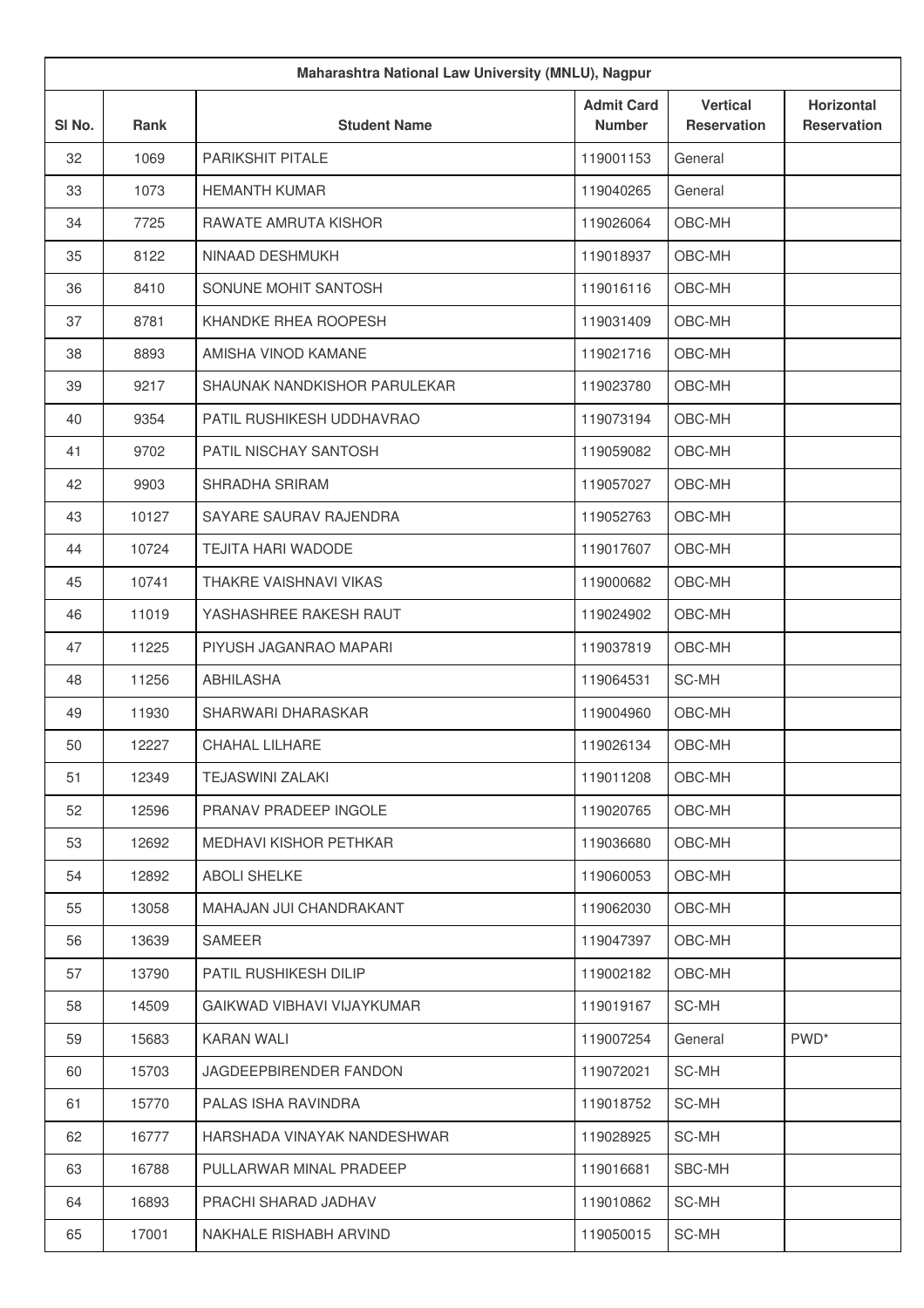| Maharashtra National Law University (MNLU), Nagpur |             |                               |                                    |                                       |                                         |  |
|----------------------------------------------------|-------------|-------------------------------|------------------------------------|---------------------------------------|-----------------------------------------|--|
| SI No.                                             | <b>Rank</b> | <b>Student Name</b>           | <b>Admit Card</b><br><b>Number</b> | <b>Vertical</b><br><b>Reservation</b> | <b>Horizontal</b><br><b>Reservation</b> |  |
| 32                                                 | 1069        | PARIKSHIT PITALE              | 119001153                          | General                               |                                         |  |
| 33                                                 | 1073        | <b>HEMANTH KUMAR</b>          | 119040265                          | General                               |                                         |  |
| 34                                                 | 7725        | RAWATE AMRUTA KISHOR          | 119026064                          | OBC-MH                                |                                         |  |
| 35                                                 | 8122        | NINAAD DESHMUKH               | 119018937                          | OBC-MH                                |                                         |  |
| 36                                                 | 8410        | SONUNE MOHIT SANTOSH          | 119016116                          | OBC-MH                                |                                         |  |
| 37                                                 | 8781        | KHANDKE RHEA ROOPESH          | 119031409                          | OBC-MH                                |                                         |  |
| 38                                                 | 8893        | AMISHA VINOD KAMANE           | 119021716                          | OBC-MH                                |                                         |  |
| 39                                                 | 9217        | SHAUNAK NANDKISHOR PARULEKAR  | 119023780                          | OBC-MH                                |                                         |  |
| 40                                                 | 9354        | PATIL RUSHIKESH UDDHAVRAO     | 119073194                          | OBC-MH                                |                                         |  |
| 41                                                 | 9702        | PATIL NISCHAY SANTOSH         | 119059082                          | OBC-MH                                |                                         |  |
| 42                                                 | 9903        | SHRADHA SRIRAM                | 119057027                          | OBC-MH                                |                                         |  |
| 43                                                 | 10127       | SAYARE SAURAV RAJENDRA        | 119052763                          | OBC-MH                                |                                         |  |
| 44                                                 | 10724       | TEJITA HARI WADODE            | 119017607                          | OBC-MH                                |                                         |  |
| 45                                                 | 10741       | THAKRE VAISHNAVI VIKAS        | 119000682                          | OBC-MH                                |                                         |  |
| 46                                                 | 11019       | YASHASHREE RAKESH RAUT        | 119024902                          | OBC-MH                                |                                         |  |
| 47                                                 | 11225       | PIYUSH JAGANRAO MAPARI        | 119037819                          | OBC-MH                                |                                         |  |
| 48                                                 | 11256       | <b>ABHILASHA</b>              | 119064531                          | SC-MH                                 |                                         |  |
| 49                                                 | 11930       | SHARWARI DHARASKAR            | 119004960                          | OBC-MH                                |                                         |  |
| 50                                                 | 12227       | <b>CHAHAL LILHARE</b>         | 119026134                          | OBC-MH                                |                                         |  |
| 51                                                 | 12349       | <b>TEJASWINI ZALAKI</b>       | 119011208                          | OBC-MH                                |                                         |  |
| 52                                                 | 12596       | PRANAV PRADEEP INGOLE         | 119020765                          | OBC-MH                                |                                         |  |
| 53                                                 | 12692       | MEDHAVI KISHOR PETHKAR        | 119036680                          | OBC-MH                                |                                         |  |
| 54                                                 | 12892       | <b>ABOLI SHELKE</b>           | 119060053                          | OBC-MH                                |                                         |  |
| 55                                                 | 13058       | MAHAJAN JUI CHANDRAKANT       | 119062030                          | OBC-MH                                |                                         |  |
| 56                                                 | 13639       | <b>SAMEER</b>                 | 119047397                          | OBC-MH                                |                                         |  |
| 57                                                 | 13790       | PATIL RUSHIKESH DILIP         | 119002182                          | OBC-MH                                |                                         |  |
| 58                                                 | 14509       | GAIKWAD VIBHAVI VIJAYKUMAR    | 119019167                          | SC-MH                                 |                                         |  |
| 59                                                 | 15683       | <b>KARAN WALI</b>             | 119007254                          | General                               | PWD <sup>*</sup>                        |  |
| 60                                                 | 15703       | <b>JAGDEEPBIRENDER FANDON</b> | 119072021                          | SC-MH                                 |                                         |  |
| 61                                                 | 15770       | PALAS ISHA RAVINDRA           | 119018752                          | SC-MH                                 |                                         |  |
| 62                                                 | 16777       | HARSHADA VINAYAK NANDESHWAR   | 119028925                          | SC-MH                                 |                                         |  |
| 63                                                 | 16788       | PULLARWAR MINAL PRADEEP       | 119016681                          | SBC-MH                                |                                         |  |
| 64                                                 | 16893       | PRACHI SHARAD JADHAV          | 119010862                          | SC-MH                                 |                                         |  |
| 65                                                 | 17001       | NAKHALE RISHABH ARVIND        | 119050015                          | SC-MH                                 |                                         |  |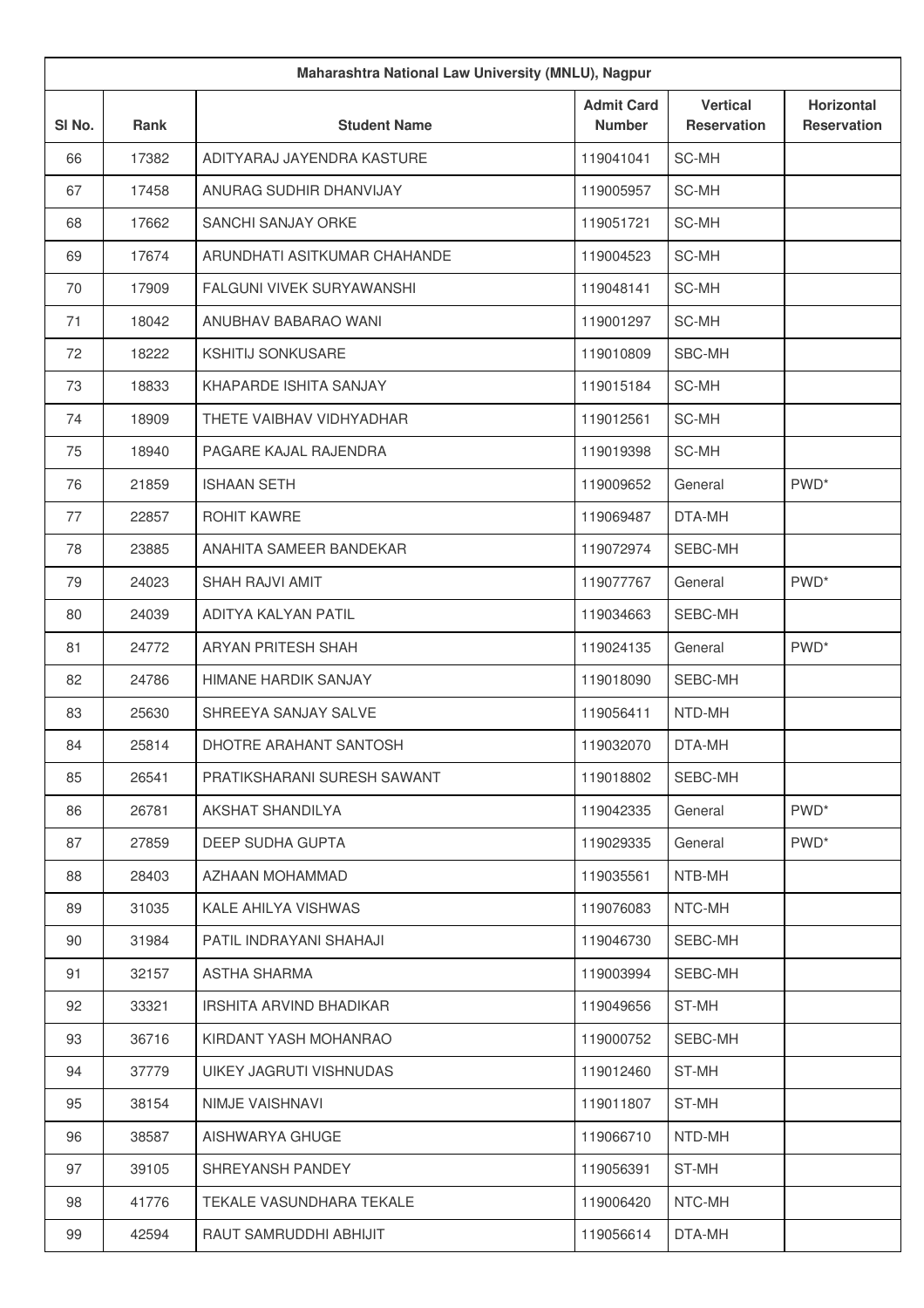| Maharashtra National Law University (MNLU), Nagpur |       |                              |                                    |                                       |                                  |
|----------------------------------------------------|-------|------------------------------|------------------------------------|---------------------------------------|----------------------------------|
| SI No.                                             | Rank  | <b>Student Name</b>          | <b>Admit Card</b><br><b>Number</b> | <b>Vertical</b><br><b>Reservation</b> | Horizontal<br><b>Reservation</b> |
| 66                                                 | 17382 | ADITYARAJ JAYENDRA KASTURE   | 119041041                          | SC-MH                                 |                                  |
| 67                                                 | 17458 | ANURAG SUDHIR DHANVIJAY      | 119005957                          | SC-MH                                 |                                  |
| 68                                                 | 17662 | SANCHI SANJAY ORKE           | 119051721                          | SC-MH                                 |                                  |
| 69                                                 | 17674 | ARUNDHATI ASITKUMAR CHAHANDE | 119004523                          | SC-MH                                 |                                  |
| 70                                                 | 17909 | FALGUNI VIVEK SURYAWANSHI    | 119048141                          | SC-MH                                 |                                  |
| 71                                                 | 18042 | ANUBHAV BABARAO WANI         | 119001297                          | SC-MH                                 |                                  |
| 72                                                 | 18222 | <b>KSHITIJ SONKUSARE</b>     | 119010809                          | SBC-MH                                |                                  |
| 73                                                 | 18833 | KHAPARDE ISHITA SANJAY       | 119015184                          | SC-MH                                 |                                  |
| 74                                                 | 18909 | THETE VAIBHAV VIDHYADHAR     | 119012561                          | SC-MH                                 |                                  |
| 75                                                 | 18940 | PAGARE KAJAL RAJENDRA        | 119019398                          | SC-MH                                 |                                  |
| 76                                                 | 21859 | <b>ISHAAN SETH</b>           | 119009652                          | General                               | PWD <sup>*</sup>                 |
| 77                                                 | 22857 | ROHIT KAWRE                  | 119069487                          | DTA-MH                                |                                  |
| 78                                                 | 23885 | ANAHITA SAMEER BANDEKAR      | 119072974                          | SEBC-MH                               |                                  |
| 79                                                 | 24023 | SHAH RAJVI AMIT              | 119077767                          | General                               | PWD <sup>*</sup>                 |
| 80                                                 | 24039 | ADITYA KALYAN PATIL          | 119034663                          | SEBC-MH                               |                                  |
| 81                                                 | 24772 | ARYAN PRITESH SHAH           | 119024135                          | General                               | PWD <sup>*</sup>                 |
| 82                                                 | 24786 | HIMANE HARDIK SANJAY         | 119018090                          | SEBC-MH                               |                                  |
| 83                                                 | 25630 | SHREEYA SANJAY SALVE         | 119056411                          | NTD-MH                                |                                  |
| 84                                                 | 25814 | DHOTRE ARAHANT SANTOSH       | 119032070                          | DTA-MH                                |                                  |
| 85                                                 | 26541 | PRATIKSHARANI SURESH SAWANT  | 119018802                          | SEBC-MH                               |                                  |
| 86                                                 | 26781 | AKSHAT SHANDILYA             | 119042335                          | General                               | PWD <sup>*</sup>                 |
| 87                                                 | 27859 | DEEP SUDHA GUPTA             | 119029335                          | General                               | PWD <sup>*</sup>                 |
| 88                                                 | 28403 | AZHAAN MOHAMMAD              | 119035561                          | NTB-MH                                |                                  |
| 89                                                 | 31035 | KALE AHILYA VISHWAS          | 119076083                          | NTC-MH                                |                                  |
| 90                                                 | 31984 | PATIL INDRAYANI SHAHAJI      | 119046730                          | SEBC-MH                               |                                  |
| 91                                                 | 32157 | <b>ASTHA SHARMA</b>          | 119003994                          | SEBC-MH                               |                                  |
| 92                                                 | 33321 | IRSHITA ARVIND BHADIKAR      | 119049656                          | ST-MH                                 |                                  |
| 93                                                 | 36716 | KIRDANT YASH MOHANRAO        | 119000752                          | SEBC-MH                               |                                  |
| 94                                                 | 37779 | UIKEY JAGRUTI VISHNUDAS      | 119012460                          | ST-MH                                 |                                  |
| 95                                                 | 38154 | NIMJE VAISHNAVI              | 119011807                          | ST-MH                                 |                                  |
| 96                                                 | 38587 | AISHWARYA GHUGE              | 119066710                          | NTD-MH                                |                                  |
| 97                                                 | 39105 | SHREYANSH PANDEY             | 119056391                          | ST-MH                                 |                                  |
| 98                                                 | 41776 | TEKALE VASUNDHARA TEKALE     | 119006420                          | NTC-MH                                |                                  |
| 99                                                 | 42594 | RAUT SAMRUDDHI ABHIJIT       | 119056614                          | DTA-MH                                |                                  |